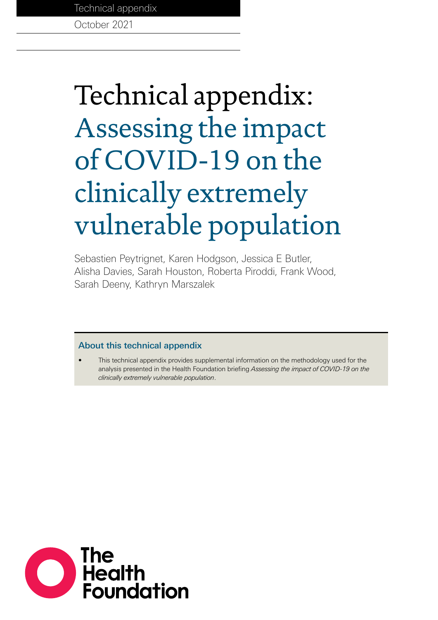Technical appendix

October 2021

# Technical appendix: Assessing the impact of COVID-19 on the clinically extremely vulnerable population

Sebastien Peytrignet, Karen Hodgson, Jessica E Butler, Alisha Davies, Sarah Houston, Roberta Piroddi, Frank Wood, Sarah Deeny, Kathryn Marszalek

## About this technical appendix

• This technical appendix provides supplemental information on the methodology used for the analysis presented in the Health Foundation briefing *Assessing the impact of COVID-19 on the clinically extremely vulnerable population*.

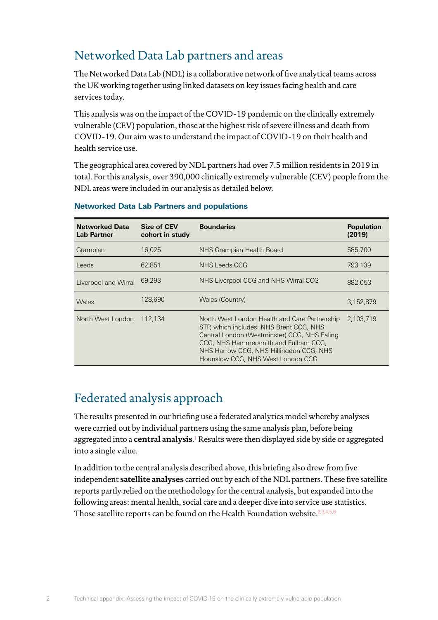# Networked Data Lab partners and areas

The Networked Data Lab (NDL) is a collaborative network of five analytical teams across the UK working together using linked datasets on key issues facing health and care services today.

This analysis was on the impact of the COVID-19 pandemic on the clinically extremely vulnerable (CEV) population, those at the highest risk of severe illness and death from COVID-19. Our aim was to understand the impact of COVID-19 on their health and health service use.

The geographical area covered by NDL partners had over 7.5 million residents in 2019 in total. For this analysis, over 390,000 clinically extremely vulnerable (CEV) people from the NDL areas were included in our analysis as detailed below.

| <b>Networked Data</b><br><b>Lab Partner</b> | Size of CEV<br>cohort in study | <b>Boundaries</b>                                                                                                                                                                                                                                                | <b>Population</b><br>(2019) |
|---------------------------------------------|--------------------------------|------------------------------------------------------------------------------------------------------------------------------------------------------------------------------------------------------------------------------------------------------------------|-----------------------------|
| Grampian                                    | 16.025                         | NHS Grampian Health Board                                                                                                                                                                                                                                        | 585,700                     |
| Leeds                                       | 62.851                         | NHS Leeds CCG                                                                                                                                                                                                                                                    | 793,139                     |
| Liverpool and Wirral                        | 69.293                         | NHS Liverpool CCG and NHS Wirral CCG                                                                                                                                                                                                                             | 882,053                     |
| Wales                                       | 128,690                        | Wales (Country)                                                                                                                                                                                                                                                  | 3.152.879                   |
| North West London                           | 112.134                        | North West London Health and Care Partnership<br>STP, which includes: NHS Brent CCG, NHS<br>Central London (Westminster) CCG, NHS Ealing<br>CCG, NHS Hammersmith and Fulham CCG,<br>NHS Harrow CCG, NHS Hillingdon CCG, NHS<br>Hounslow CCG, NHS West London CCG | 2.103.719                   |

## **Networked Data Lab Partners and populations**

# Federated analysis approach

 $\overline{\mathcal{L}}$ 

The results presented in our briefing use a federated analytics model whereby analyses were carried out by individual partners using the same analysis plan, before being aggregated into a **central analysis**.<sup>[1](#page-9-0)</sup> Results were then displayed side by side or aggregated into a single value.

In addition to the central analysis described above, this briefing also drew from five independent **satellite analyses** carried out by each of the NDL partners. These five satellite reports partly relied on the methodology for the central analysis, but expanded into the following areas: mental health, social care and a deeper dive into service use statistics. Those satellite reports can be found on the Health Foundation website.<sup>[2,](#page-9-1)[3](#page-9-2)[,4](#page-9-3),[5](#page-9-4)[,6](#page-9-5)</sup>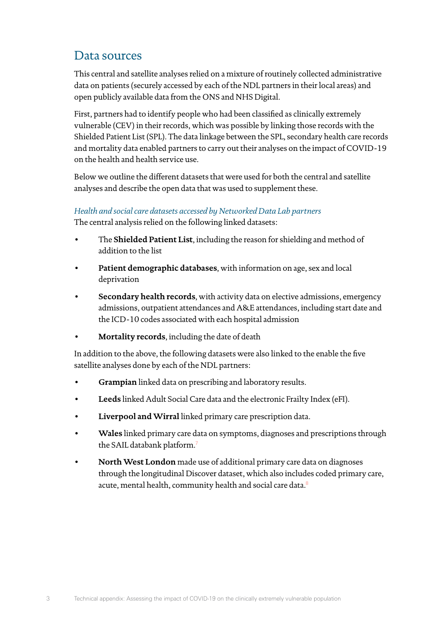# Data sources

This central and satellite analyses relied on a mixture of routinely collected administrative data on patients (securely accessed by each of the NDL partners in their local areas) and open publicly available data from the ONS and NHS Digital.

First, partners had to identify people who had been classified as clinically extremely vulnerable (CEV) in their records, which was possible by linking those records with the Shielded Patient List (SPL). The data linkage between the SPL, secondary health care records and mortality data enabled partners to carry out their analyses on the impact of COVID-19 on the health and health service use.

Below we outline the different datasets that were used for both the central and satellite analyses and describe the open data that was used to supplement these.

## *Health and social care datasets accessed by Networked Data Lab partners*

The central analysis relied on the following linked datasets:

- The **Shielded Patient List**, including the reason for shielding and method of addition to the list
- **Patient demographic databases**, with information on age, sex and local deprivation
- **Secondary health records**, with activity data on elective admissions, emergency admissions, outpatient attendances and A&E attendances, including start date and the ICD-10 codes associated with each hospital admission
- **Mortality records**, including the date of death

In addition to the above, the following datasets were also linked to the enable the five satellite analyses done by each of the NDL partners:

- **Grampian** linked data on prescribing and laboratory results.
- **Leeds** linked Adult Social Care data and the electronic Frailty Index (eFI).
- **Liverpool and Wirral** linked primary care prescription data.
- **Wales** linked primary care data on symptoms, diagnoses and prescriptions through the SAIL databank platform.<sup>[7](#page-9-6)</sup>
- **North West London** made use of additional primary care data on diagnoses through the longitudinal Discover dataset, which also includes coded primary care, acute, mental health, community health and social care data.<sup>[8](#page-9-7)</sup>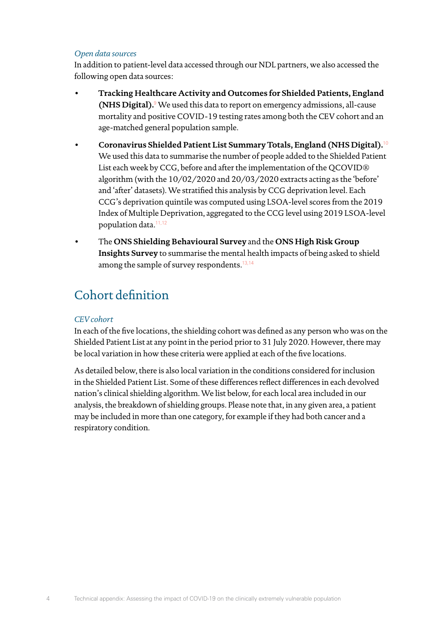## *Open data sources*

In addition to patient-level data accessed through our NDL partners, we also accessed the following open data sources:

- **Tracking Healthcare Activity and Outcomes for Shielded Patients, England (NHS Digital).**[9](#page-9-8) We used this data to report on emergency admissions, all-cause mortality and positive COVID-19 testing rates among both the CEV cohort and an age-matched general population sample.
- **Coronavirus Shielded Patient List Summary Totals, England (NHS Digital).**[10](#page-9-9) We used this data to summarise the number of people added to the Shielded Patient List each week by CCG, before and after the implementation of the QCOVID® algorithm (with the 10/02/2020 and 20/03/2020 extracts acting as the 'before' and 'after' datasets). We stratified this analysis by CCG deprivation level. Each CCG's deprivation quintile was computed using LSOA-level scores from the 2019 Index of Multiple Deprivation, aggregated to the CCG level using 2019 LSOA-level population data.[11](#page-9-10)[,12](#page-9-11)
- The **ONS Shielding Behavioural Survey** and the **ONS High Risk Group Insights Survey** to summarise the mental health impacts of being asked to shield among the sample of survey respondents.<sup>[13](#page-9-12),[14](#page-9-13)</sup>

# Cohort definition

## *CEV cohort*

In each of the five locations, the shielding cohort was defined as any person who was on the Shielded Patient List at any point in the period prior to 31 July 2020. However, there may be local variation in how these criteria were applied at each of the five locations.

As detailed below, there is also local variation in the conditions considered for inclusion in the Shielded Patient List. Some of these differences reflect differences in each devolved nation's clinical shielding algorithm. We list below, for each local area included in our analysis, the breakdown of shielding groups. Please note that, in any given area, a patient may be included in more than one category, for example if they had both cancer and a respiratory condition.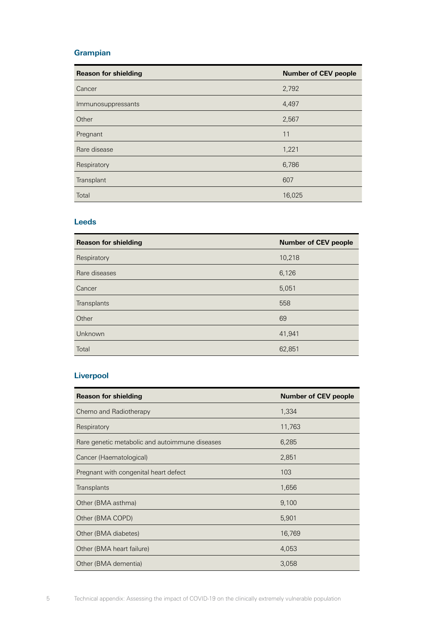## **Grampian**

| <b>Reason for shielding</b> | <b>Number of CEV people</b> |
|-----------------------------|-----------------------------|
| Cancer                      | 2,792                       |
| Immunosuppressants          | 4,497                       |
| Other                       | 2,567                       |
| Pregnant                    | 11                          |
| Rare disease                | 1,221                       |
| Respiratory                 | 6,786                       |
| Transplant                  | 607                         |
| Total                       | 16,025                      |

#### **Leeds**

| <b>Reason for shielding</b> | <b>Number of CEV people</b> |
|-----------------------------|-----------------------------|
| Respiratory                 | 10,218                      |
| Rare diseases               | 6,126                       |
| Cancer                      | 5,051                       |
| Transplants                 | 558                         |
| Other                       | 69                          |
| Unknown                     | 41,941                      |
| Total                       | 62,851                      |

## **Liverpool**

| <b>Reason for shielding</b>                    | <b>Number of CEV people</b> |
|------------------------------------------------|-----------------------------|
| Chemo and Radiotherapy                         | 1,334                       |
| Respiratory                                    | 11,763                      |
| Rare genetic metabolic and autoimmune diseases | 6,285                       |
| Cancer (Haematological)                        | 2,851                       |
| Pregnant with congenital heart defect          | 103                         |
| Transplants                                    | 1,656                       |
| Other (BMA asthma)                             | 9,100                       |
| Other (BMA COPD)                               | 5,901                       |
| Other (BMA diabetes)                           | 16,769                      |
| Other (BMA heart failure)                      | 4,053                       |
| Other (BMA dementia)                           | 3,058                       |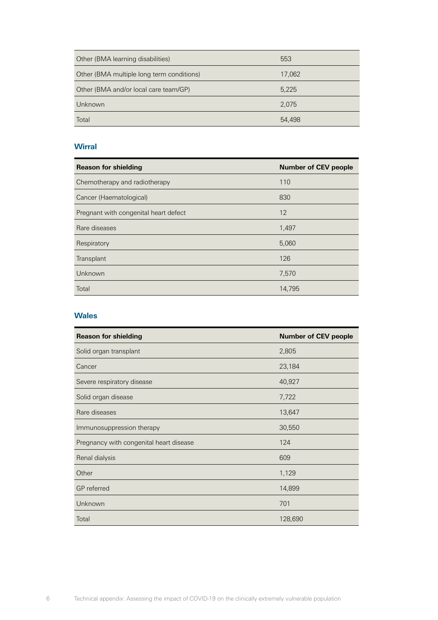| Other (BMA learning disabilities)         | 553    |
|-------------------------------------------|--------|
| Other (BMA multiple long term conditions) | 17,062 |
| Other (BMA and/or local care team/GP)     | 5,225  |
| Unknown                                   | 2.075  |
| Total                                     | 54,498 |

## **Wirral**

| <b>Reason for shielding</b>           | <b>Number of CEV people</b> |
|---------------------------------------|-----------------------------|
| Chemotherapy and radiotherapy         | 110                         |
| Cancer (Haematological)               | 830                         |
| Pregnant with congenital heart defect | 12                          |
| Rare diseases                         | 1,497                       |
| Respiratory                           | 5,060                       |
| Transplant                            | 126                         |
| Unknown                               | 7,570                       |
| Total                                 | 14,795                      |

## **Wales**

| <b>Reason for shielding</b>             | <b>Number of CEV people</b> |
|-----------------------------------------|-----------------------------|
| Solid organ transplant                  | 2,805                       |
| Cancer                                  | 23,184                      |
| Severe respiratory disease              | 40,927                      |
| Solid organ disease                     | 7,722                       |
| Rare diseases                           | 13,647                      |
| Immunosuppression therapy               | 30,550                      |
| Pregnancy with congenital heart disease | 124                         |
| Renal dialysis                          | 609                         |
| Other                                   | 1,129                       |
| <b>GP</b> referred                      | 14,899                      |
| Unknown                                 | 701                         |
| Total                                   | 128,690                     |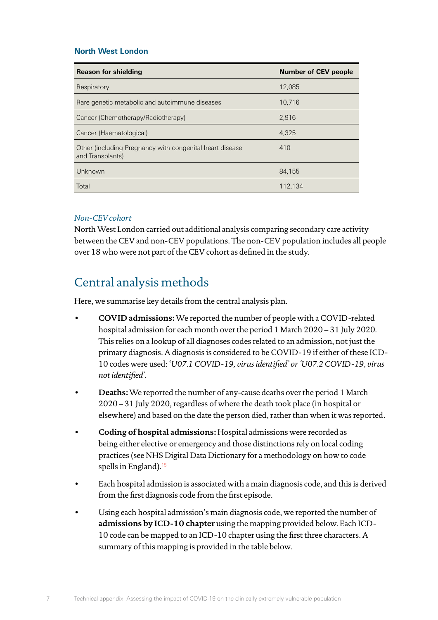## **North West London**

| <b>Reason for shielding</b>                                                  | <b>Number of CEV people</b> |
|------------------------------------------------------------------------------|-----------------------------|
| Respiratory                                                                  | 12.085                      |
| Rare genetic metabolic and autoimmune diseases                               | 10.716                      |
| Cancer (Chemotherapy/Radiotherapy)                                           | 2.916                       |
| Cancer (Haematological)                                                      | 4.325                       |
| Other (including Pregnancy with congenital heart disease<br>and Transplants) | 410                         |
| Unknown                                                                      | 84,155                      |
| Total                                                                        | 112.134                     |

## *Non-CEV cohort*

7

North West London carried out additional analysis comparing secondary care activity between the CEV and non-CEV populations. The non-CEV population includes all people over 18 who were not part of the CEV cohort as defined in the study.

## Central analysis methods

Here, we summarise key details from the central analysis plan.

- **COVID admissions:** We reported the number of people with a COVID-related hospital admission for each month over the period 1 March 2020 – 31 July 2020. This relies on a lookup of all diagnoses codes related to an admission, not just the primary diagnosis. A diagnosis is considered to be COVID-19 if either of these ICD-10 codes were used: '*U07.1 COVID-19, virus identified' or 'U07.2 COVID-19, virus not identified'*.
- **Deaths:** We reported the number of any-cause deaths over the period 1 March 2020 – 31 July 2020, regardless of where the death took place (in hospital or elsewhere) and based on the date the person died, rather than when it was reported.
- **Coding of hospital admissions:** Hospital admissions were recorded as being either elective or emergency and those distinctions rely on local coding practices (see NHS Digital Data Dictionary for a methodology on how to code spells in England).<sup>[15](#page-9-14)</sup>
- Each hospital admission is associated with a main diagnosis code, and this is derived from the first diagnosis code from the first episode.
- Using each hospital admission's main diagnosis code, we reported the number of **admissions by ICD-10 chapter** using the mapping provided below. Each ICD-10 code can be mapped to an ICD-10 chapter using the first three characters. A summary of this mapping is provided in the table below.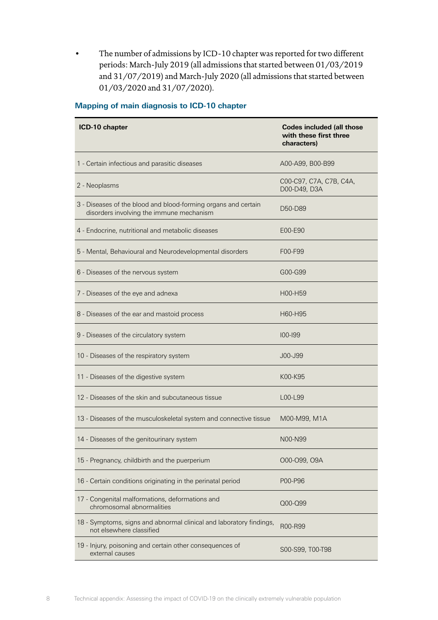The number of admissions by ICD-10 chapter was reported for two different periods: March-July 2019 (all admissions that started between 01/03/2019 and 31/07/2019) and March-July 2020 (all admissions that started between 01/03/2020 and 31/07/2020).

| ICD-10 chapter                                                                                             | <b>Codes included (all those</b><br>with these first three<br>characters) |
|------------------------------------------------------------------------------------------------------------|---------------------------------------------------------------------------|
| 1 - Certain infectious and parasitic diseases                                                              | A00-A99, B00-B99                                                          |
| 2 - Neoplasms                                                                                              | C00-C97, C7A, C7B, C4A,<br>D00-D49, D3A                                   |
| 3 - Diseases of the blood and blood-forming organs and certain<br>disorders involving the immune mechanism | D50-D89                                                                   |
| 4 - Endocrine, nutritional and metabolic diseases                                                          | E00-E90                                                                   |
| 5 - Mental, Behavioural and Neurodevelopmental disorders                                                   | F00-F99                                                                   |
| 6 - Diseases of the nervous system                                                                         | G00-G99                                                                   |
| 7 - Diseases of the eye and adnexa                                                                         | H00-H59                                                                   |
| 8 - Diseases of the ear and mastoid process                                                                | H60-H95                                                                   |
| 9 - Diseases of the circulatory system                                                                     | $100 - 199$                                                               |
| 10 - Diseases of the respiratory system                                                                    | J00-J99                                                                   |
| 11 - Diseases of the digestive system                                                                      | K00-K95                                                                   |
| 12 - Diseases of the skin and subcutaneous tissue                                                          | L00-L99                                                                   |
| 13 - Diseases of the musculoskeletal system and connective tissue                                          | M00-M99, M1A                                                              |
| 14 - Diseases of the genitourinary system                                                                  | N <sub>00</sub> -N <sub>99</sub>                                          |
| 15 - Pregnancy, childbirth and the puerperium                                                              | 000-099, 09A                                                              |
| 16 - Certain conditions originating in the perinatal period                                                | P00-P96                                                                   |
| 17 - Congenital malformations, deformations and<br>chromosomal abnormalities                               | Q00-Q99                                                                   |
| 18 - Symptoms, signs and abnormal clinical and laboratory findings,<br>not elsewhere classified            | R00-R99                                                                   |
| 19 - Injury, poisoning and certain other consequences of<br>external causes                                | S00-S99, T00-T98                                                          |

### **Mapping of main diagnosis to ICD-10 chapter**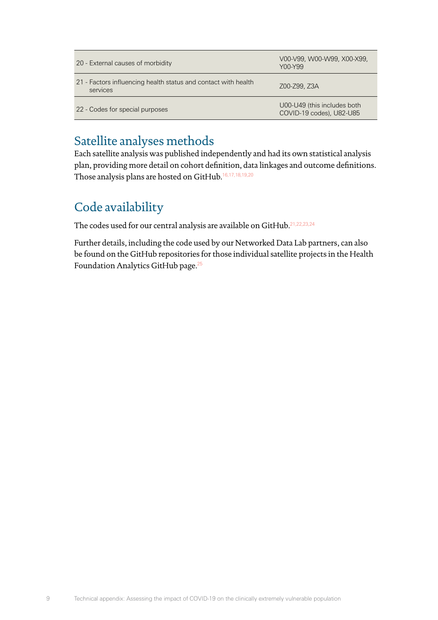| 20 - External causes of morbidity                                          | V00-V99, W00-W99, X00-X99,<br>Y00-Y99                   |
|----------------------------------------------------------------------------|---------------------------------------------------------|
| 21 - Factors influencing health status and contact with health<br>services | Z00-Z99, Z3A                                            |
| 22 - Codes for special purposes                                            | U00-U49 (this includes both<br>COVID-19 codes), U82-U85 |

# Satellite analyses methods

Each satellite analysis was published independently and had its own statistical analysis plan, providing more detail on cohort definition, data linkages and outcome definitions. Those analysis plans are hosted on GitHub.[16](#page-9-15)[,17](#page-9-16),[18,](#page-9-17)[19](#page-9-18)[,20](#page-9-19)

# Code availability

The codes used for our central analysis are available on GitHub.[21](#page-9-20)[,22](#page-10-0),[23,](#page-10-1)[24](#page-10-2)

Further details, including the code used by our Networked Data Lab partners, can also be found on the GitHub repositories for those individual satellite projects in the Health Foundation Analytics GitHub page.[25](#page-10-3)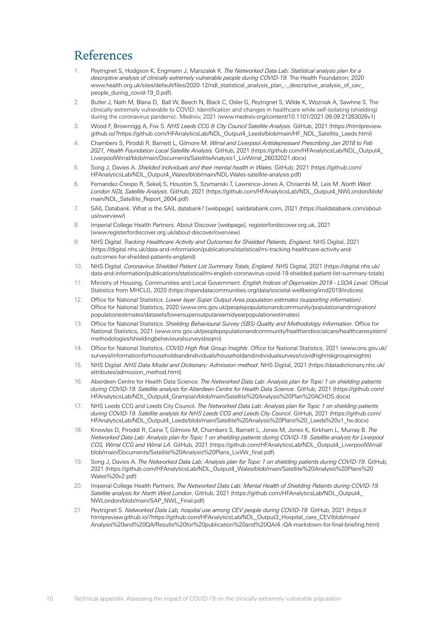# References

- <span id="page-9-0"></span>1. Peytrignet S, Hodgson K, Engmann J, Marszalek K. *The Networked Data Lab: Statistical analysis plan for a descriptive analysis of clinically extremely vulnerable people during COVID-19.* The Health Foundation; 2020 [www.health.org.uk/sites/default/files/2020-12/ndl\\_statistical\\_analysis\\_plan\\_-\\_descriptive\\_analysis\\_of\\_cev\\_](https://www.health.org.uk/sites/default/files/2020-12/ndl_statistical_analysis_plan_-_descriptive_analysis_of_cev_people_during_covid-19_0.pdf) [people\\_during\\_covid-19\\_0.pdf](https://www.health.org.uk/sites/default/files/2020-12/ndl_statistical_analysis_plan_-_descriptive_analysis_of_cev_people_during_covid-19_0.pdf)).
- <span id="page-9-1"></span>2. Butler J, Nath M, Blana D, Ball W, Beech N, Black C, Osler G, Peytrignet S, Wilde K, Wozniak A, Sawhne S. The clinically extremely vulnerable to COVID: Identification and changes in healthcare while self-isolating (shielding) during the coronavirus pandemic. Medrxiv, 2021 (www.medrxiv.org/content/10.1101/2021.09.09.21263026v1)
- <span id="page-9-2"></span>3. Wood F, Brownrigg A, Fox S. *NHS Leeds CCG & City Council Satellite Analysis*. GitHub, 2021 [\(https://htmlpreview.](https://htmlpreview.github.io/?https://github.com/HFAnalyticsLab/NDL_Output4_Leeds/blob/main/HF_NDL_Satellite_Leeds.html) [github.io/?https://github.com/HFAnalyticsLab/NDL\\_Output4\\_Leeds/blob/main/HF\\_NDL\\_Satellite\\_Leeds.html](https://htmlpreview.github.io/?https://github.com/HFAnalyticsLab/NDL_Output4_Leeds/blob/main/HF_NDL_Satellite_Leeds.html))
- <span id="page-9-3"></span>4. Chambers S, Piroddi R, Barnett L, Gilmore M. *Wirral and Liverpool Antidepressant Prescribing Jan 2018 to Feb 2021, Health Foundation Local Satellite Analysis.* GitHub, 2021 ([https://github.com/HFAnalyticsLab/NDL\\_Output4\\_](https://github.com/HFAnalyticsLab/NDL_Output4_LiverpoolWirral/blob/main/Documents/SatelliteAnalysis1_LivWirral_26032021.docx) [LiverpoolWirral/blob/main/Documents/SatelliteAnalysis1\\_LivWirral\\_26032021.docx](https://github.com/HFAnalyticsLab/NDL_Output4_LiverpoolWirral/blob/main/Documents/SatelliteAnalysis1_LivWirral_26032021.docx))
- <span id="page-9-4"></span>5. Song J, Davies A. *Shielded individuals and their mental health in Wales.* GitHub; 2021 ([https://github.com/](https://github.com/HFAnalyticsLab/NDL_Output4_Wales/blob/main/NDL-Wales-satellite-analysis.pdf) [HFAnalyticsLab/NDL\\_Output4\\_Wales/blob/main/NDL-Wales-satellite-analysis.pdf](https://github.com/HFAnalyticsLab/NDL_Output4_Wales/blob/main/NDL-Wales-satellite-analysis.pdf))
- <span id="page-9-5"></span>6. Fernandez-Crespo R, Sekelj S, Houston S, Szymanski T, Lawrence-Jones A, Chisambi M, Leis M. *North West London NDL Satellite Analysis*. GitHub; 2021 ([https://github.com/HFAnalyticsLab/NDL\\_Output4\\_NWLondon/blob/](https://github.com/HFAnalyticsLab/NDL_Output4_NWLondon/blob/main/NDL_Satellite_Report_2604.pdf) [main/NDL\\_Satellite\\_Report\\_2604.pdf](https://github.com/HFAnalyticsLab/NDL_Output4_NWLondon/blob/main/NDL_Satellite_Report_2604.pdf))
- <span id="page-9-6"></span>7. SAIL Databank. What is the SAIL databank? [webpage]. saildatabank.com, 2021 [\(https://saildatabank.com/about](https://saildatabank.com/about-us/overview/)[us/overview/\)](https://saildatabank.com/about-us/overview/)
- <span id="page-9-7"></span>8. Imperial College Health Partners. About Discover [webpage]. registerfordiscover.org.uk, 2021 ([www.registerfordiscover.org.uk/about-discover/overview](https://www.registerfordiscover.org.uk/about-discover/overview))
- <span id="page-9-8"></span>9. NHS Digital. *Tracking Healthcare Activity and Outcomes for Shielded Patients, England*. NHS Digital, 2021 ([https://digital.nhs.uk/data-and-information/publications/statistical/mi-tracking-healthcare-activity-and](https://digital.nhs.uk/data-and-information/publications/statistical/mi-tracking-healthcare-activity-and-outcomes-for-shielded-patients-england)[outcomes-for-shielded-patients-england\)](https://digital.nhs.uk/data-and-information/publications/statistical/mi-tracking-healthcare-activity-and-outcomes-for-shielded-patients-england)
- <span id="page-9-9"></span>10. NHS Digital. *Coronavirus Shielded Patient List Summary Totals, England*. NHS Digital, 2021 ([https://digital.nhs.uk/](https://digital.nhs.uk/data-and-information/publications/statistical/mi-english-coronavirus-covid-19-shielded-patient-list-summary-totals) [data-and-information/publications/statistical/mi-english-coronavirus-covid-19-shielded-patient-list-summary-totals\)](https://digital.nhs.uk/data-and-information/publications/statistical/mi-english-coronavirus-covid-19-shielded-patient-list-summary-totals)
- <span id="page-9-10"></span>11. Ministry of Housing, Communities and Local Government. *English Indices of Deprivation 2019 - LSOA Level*. Official Statistics from MHCLG, 2020 [\(https://opendatacommunities.org/data/societal-wellbeing/imd2019/indices](https://opendatacommunities.org/data/societal-wellbeing/imd2019/indices))
- <span id="page-9-11"></span>12. Office for National Statistics. *Lower layer Super Output Area population estimates (supporting information)*. Office for National Statistics, 2020 ([www.ons.gov.uk/peoplepopulationandcommunity/populationandmigration/](https://www.ons.gov.uk/peoplepopulationandcommunity/populationandmigration/populationestimates/datasets/lowersuperoutputareamidyearpopulationestimates) [populationestimates/datasets/lowersuperoutputareamidyearpopulationestimates\)](https://www.ons.gov.uk/peoplepopulationandcommunity/populationandmigration/populationestimates/datasets/lowersuperoutputareamidyearpopulationestimates)
- <span id="page-9-12"></span>13. Office for National Statistics. *Shielding Behavioural Survey (SBS) Quality and Methodology Information*. Office for National Statistics, 2021 ([www.ons.gov.uk/peoplepopulationandcommunity/healthandsocialcare/healthcaresystem/](https://www.ons.gov.uk/peoplepopulationandcommunity/healthandsocialcare/healthcaresystem/methodologies/shieldingbehaviouralsurveysbsqmi) [methodologies/shieldingbehaviouralsurveysbsqmi\)](https://www.ons.gov.uk/peoplepopulationandcommunity/healthandsocialcare/healthcaresystem/methodologies/shieldingbehaviouralsurveysbsqmi)
- <span id="page-9-13"></span>14. Office for National Statistics. *COVID High Risk Group Insights*. Office for National Statistics, 2021 ([www.ons.gov.uk/](https://www.ons.gov.uk/surveys/informationforhouseholdsandindividuals/householdandindividualsurveys/covidhighriskgroupinsights) [surveys/informationforhouseholdsandindividuals/householdandindividualsurveys/covidhighriskgroupinsights](https://www.ons.gov.uk/surveys/informationforhouseholdsandindividuals/householdandindividualsurveys/covidhighriskgroupinsights))
- <span id="page-9-14"></span>15. NHS Digital. *NHS Data Model and Dictionary: Admission method*. NHS Digital, 2021 ([https://datadictionary.nhs.uk/](https://datadictionary.nhs.uk/attributes/admission_method.html) [attributes/admission\\_method.html](https://datadictionary.nhs.uk/attributes/admission_method.html))
- <span id="page-9-15"></span>16. Aberdeen Centre for Health Data Science. *The Networked Data Lab: Analysis plan for Topic 1 on shielding patients during COVID-19. Satellite analysis for Aberdeen Centre for Health Data Science*. GitHub, 2021 ([https://github.com/](https://github.com/HFAnalyticsLab/NDL_Output4_Grampian/blob/main/Satellite%20Analysis%20Plan%20ACHDS.docx) [HFAnalyticsLab/NDL\\_Output4\\_Grampian/blob/main/Satellite%20Analysis%20Plan%20ACHDS.docx](https://github.com/HFAnalyticsLab/NDL_Output4_Grampian/blob/main/Satellite%20Analysis%20Plan%20ACHDS.docx))
- <span id="page-9-16"></span>17. NHS Leeds CCG and Leeds City Council. *The Networked Data Lab: Analysis plan for Topic 1 on shielding patients during COVID-19. Satellite analysis for NHS Leeds CCG and Leeds City Council*. GitHub, 2021 [\(https://github.com/](https://github.com/HFAnalyticsLab/NDL_Output4_Leeds/blob/main/Satellite%20Analysis%20Plans%20_Leeds%20v1_fw.docx) [HFAnalyticsLab/NDL\\_Output4\\_Leeds/blob/main/Satellite%20Analysis%20Plans%20\\_Leeds%20v1\\_fw.docx](https://github.com/HFAnalyticsLab/NDL_Output4_Leeds/blob/main/Satellite%20Analysis%20Plans%20_Leeds%20v1_fw.docx))
- <span id="page-9-17"></span>18. Knowles D, Piroddi R, Caine T, Gilmore M, Chambers S, Barnett L, Jones M, Jones K, Kirkham L, Murray B. *The Networked Data Lab: Analysis plan for Topic 1 on shielding patients during COVID-19. Satellite analysis for Liverpool CCG, Wirral CCG and Wirral LA*. GitHub, 2021 ([https://github.com/HFAnalyticsLab/NDL\\_Output4\\_LiverpoolWirral/](https://github.com/HFAnalyticsLab/NDL_Output4_LiverpoolWirral/blob/main/Documents/Satellite%20Analysis%20Plans_LivWir_final.pdf) [blob/main/Documents/Satellite%20Analysis%20Plans\\_LivWir\\_final.pdf](https://github.com/HFAnalyticsLab/NDL_Output4_LiverpoolWirral/blob/main/Documents/Satellite%20Analysis%20Plans_LivWir_final.pdf))
- <span id="page-9-18"></span>19. Song J, Davies A. *The Networked Data Lab: Analysis plan for Topic 1 on shielding patients during COVID-19*. GitHub, 2021 ([https://github.com/HFAnalyticsLab/NDL\\_Output4\\_Wales/blob/main/Satellite%20Analysis%20Plans%20](https://github.com/HFAnalyticsLab/NDL_Output4_Wales/blob/main/Satellite%20Analysis%20Plans%20Wales%20v2.pdf) [Wales%20v2.pdf](https://github.com/HFAnalyticsLab/NDL_Output4_Wales/blob/main/Satellite%20Analysis%20Plans%20Wales%20v2.pdf))
- <span id="page-9-19"></span>20. Imperial College Health Partners. *The Networked Data Lab: Mental Health of Shielding Patients during COVID-19. Satellite analysis for North West London*. GitHub, 2021 ([https://github.com/HFAnalyticsLab/NDL\\_Output4\\_](https://github.com/HFAnalyticsLab/NDL_Output4_NWLondon/blob/main/SAP_NWL_Final.pdf) [NWLondon/blob/main/SAP\\_NWL\\_Final.pdf](https://github.com/HFAnalyticsLab/NDL_Output4_NWLondon/blob/main/SAP_NWL_Final.pdf))
- <span id="page-9-20"></span>21. Peytrignet S. *Networked Data Lab, hospital use among CEV people during COVID-19.* GitHub, 2021 [\(https://](https://htmlpreview.github.io/?https://github.com/HFAnalyticsLab/NDL_Output3_Hospital_care_CEV/blob/main/Analysis%20and%20QA/Results%20for%20publication%20and%20QA/4.-QA-markdown-for-final-briefing.html) [htmlpreview.github.io/?https://github.com/HFAnalyticsLab/NDL\\_Output3\\_Hospital\\_care\\_CEV/blob/main/](https://htmlpreview.github.io/?https://github.com/HFAnalyticsLab/NDL_Output3_Hospital_care_CEV/blob/main/Analysis%20and%20QA/Results%20for%20publication%20and%20QA/4.-QA-markdown-for-final-briefing.html) [Analysis%20and%20QA/Results%20for%20publication%20and%20QA/4.-QA-markdown-for-final-briefing.html](https://htmlpreview.github.io/?https://github.com/HFAnalyticsLab/NDL_Output3_Hospital_care_CEV/blob/main/Analysis%20and%20QA/Results%20for%20publication%20and%20QA/4.-QA-markdown-for-final-briefing.html))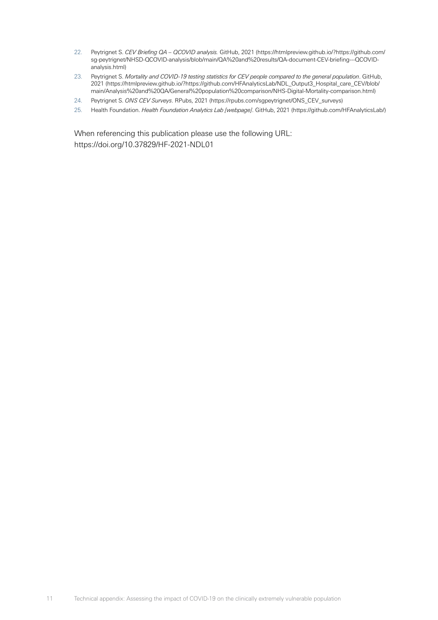- <span id="page-10-0"></span>22. Peytrignet S. *CEV Briefing QA – QCOVID analysis.* GitHub, 2021 [\(https://htmlpreview.github.io/?https://github.com/](https://htmlpreview.github.io/?https://github.com/sg-peytrignet/NHSD-QCOVID-analysis/blob/main/QA%20and%20results/QA-document-CEV-briefing---QCOVID-analysis.html) [sg-peytrignet/NHSD-QCOVID-analysis/blob/main/QA%20and%20results/QA-document-CEV-briefing---QCOVID](https://htmlpreview.github.io/?https://github.com/sg-peytrignet/NHSD-QCOVID-analysis/blob/main/QA%20and%20results/QA-document-CEV-briefing---QCOVID-analysis.html)[analysis.html](https://htmlpreview.github.io/?https://github.com/sg-peytrignet/NHSD-QCOVID-analysis/blob/main/QA%20and%20results/QA-document-CEV-briefing---QCOVID-analysis.html))
- <span id="page-10-1"></span>23. Peytrignet S. *Mortality and COVID-19 testing statistics for CEV people compared to the general population*. GitHub, 2021 ([https://htmlpreview.github.io/?https://github.com/HFAnalyticsLab/NDL\\_Output3\\_Hospital\\_care\\_CEV/blob/](https://htmlpreview.github.io/?https://github.com/HFAnalyticsLab/NDL_Output3_Hospital_care_CEV/blob/main/Analysis%20and%20QA/General%20population%20comparison/NHS-Digital-Mortality-comparison.html) [main/Analysis%20and%20QA/General%20population%20comparison/NHS-Digital-Mortality-comparison.html](https://htmlpreview.github.io/?https://github.com/HFAnalyticsLab/NDL_Output3_Hospital_care_CEV/blob/main/Analysis%20and%20QA/General%20population%20comparison/NHS-Digital-Mortality-comparison.html))
- <span id="page-10-2"></span>24. Peytrignet S. *ONS CEV Surveys*. RPubs, 2021 ([https://rpubs.com/sgpeytrignet/ONS\\_CEV\\_surveys](https://rpubs.com/sgpeytrignet/ONS_CEV_surveys))
- <span id="page-10-3"></span>25. Health Foundation. *Health Foundation Analytics Lab [webpage]*. GitHub, 2021 [\(https://github.com/HFAnalyticsLab/](https://github.com/HFAnalyticsLab/))

When referencing this publication please use the following URL: [https://doi.org/10.37829/HF-2021-NDL01](https://doi.org/10.37829/HF-2021-NDL01 )